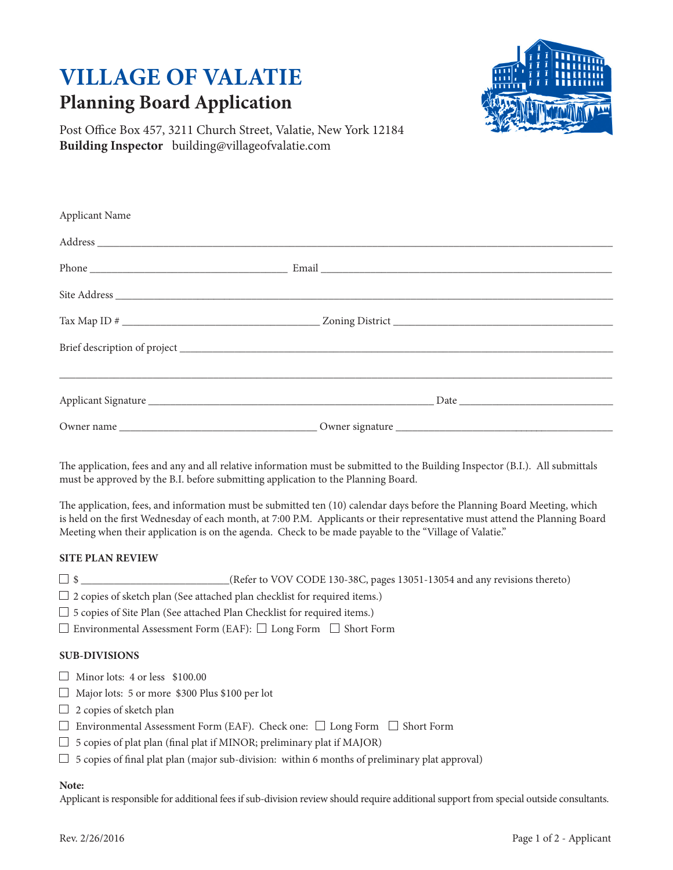# **VILLAGE OF VALATIE Planning Board Application**



Post Office Box 457, 3211 Church Street, Valatie, New York 12184 **Building Inspector** building@villageofvalatie.com

| Applicant Name |                                                                                                                                                                |
|----------------|----------------------------------------------------------------------------------------------------------------------------------------------------------------|
|                |                                                                                                                                                                |
|                | Phone Email Email                                                                                                                                              |
|                |                                                                                                                                                                |
|                |                                                                                                                                                                |
|                |                                                                                                                                                                |
|                | Applicant Signature <b>Example 2018</b> Date <u>Proposed</u> Based by Date <b>Date Date Date Date Date Date Date Date Date Date Date Date Date Date Date D</b> |
|                |                                                                                                                                                                |
|                |                                                                                                                                                                |

The application, fees and any and all relative information must be submitted to the Building Inspector (B.I.). All submittals must be approved by the B.I. before submitting application to the Planning Board.

The application, fees, and information must be submitted ten (10) calendar days before the Planning Board Meeting, which is held on the first Wednesday of each month, at 7:00 P.M. Applicants or their representative must attend the Planning Board Meeting when their application is on the agenda. Check to be made payable to the "Village of Valatie."

## **SITE PLAN REVIEW**

- $\Box$  \$ \_\_\_\_\_\_\_\_\_\_\_\_\_\_\_\_\_\_\_\_\_\_\_(Refer to VOV CODE 130-38C, pages 13051-13054 and any revisions thereto)
- $\Box$  2 copies of sketch plan (See attached plan checklist for required items.)
- $\Box$  5 copies of Site Plan (See attached Plan Checklist for required items.)
- $\square$  Environmental Assessment Form (EAF):  $\square$  Long Form  $\square$  Short Form

## **SUB-DIVISIONS**

- $\Box$  Minor lots: 4 or less \$100.00
- Major lots: 5 or more \$300 Plus \$100 per lot
- $\Box$  2 copies of sketch plan
- $\Box$  Environmental Assessment Form (EAF). Check one:  $\Box$  Long Form  $\Box$  Short Form
- $\Box$  5 copies of plat plan (final plat if MINOR; preliminary plat if MAJOR)
- $\Box$  5 copies of final plat plan (major sub-division: within 6 months of preliminary plat approval)

## **Note:**

Applicant is responsible for additional fees if sub-division review should require additional support from special outside consultants.